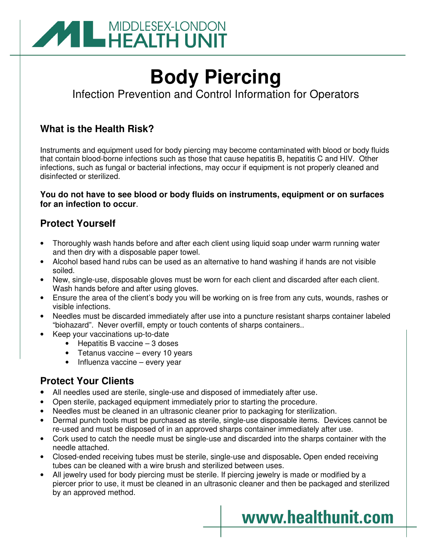

# **Body Piercing**

Infection Prevention and Control Information for Operators

# **What is the Health Risk?**

Instruments and equipment used for body piercing may become contaminated with blood or body fluids that contain blood-borne infections such as those that cause hepatitis B, hepatitis C and HIV. Other infections, such as fungal or bacterial infections, may occur if equipment is not properly cleaned and disinfected or sterilized.

## **You do not have to see blood or body fluids on instruments, equipment or on surfaces for an infection to occur**.

# **Protect Yourself**

- Thoroughly wash hands before and after each client using liquid soap under warm running water and then dry with a disposable paper towel.
- Alcohol based hand rubs can be used as an alternative to hand washing if hands are not visible soiled.
- New, single-use, disposable gloves must be worn for each client and discarded after each client. Wash hands before and after using gloves.
- Ensure the area of the client's body you will be working on is free from any cuts, wounds, rashes or visible infections.
- Needles must be discarded immediately after use into a puncture resistant sharps container labeled "biohazard". Never overfill, empty or touch contents of sharps containers..
- Keep your vaccinations up-to-date
	- Hepatitis B vaccine 3 doses
	- Tetanus vaccine every 10 years
	- Influenza vaccine every year

## **Protect Your Clients**

- All needles used are sterile, single-use and disposed of immediately after use.
- Open sterile, packaged equipment immediately prior to starting the procedure.
- Needles must be cleaned in an ultrasonic cleaner prior to packaging for sterilization.
- Dermal punch tools must be purchased as sterile, single-use disposable items. Devices cannot be re-used and must be disposed of in an approved sharps container immediately after use.
- Cork used to catch the needle must be single-use and discarded into the sharps container with the needle attached.
- Closed-ended receiving tubes must be sterile, single-use and disposable**.** Open ended receiving tubes can be cleaned with a wire brush and sterilized between uses.
- All jewelry used for body piercing must be sterile. If piercing jewelry is made or modified by a piercer prior to use, it must be cleaned in an ultrasonic cleaner and then be packaged and sterilized by an approved method.